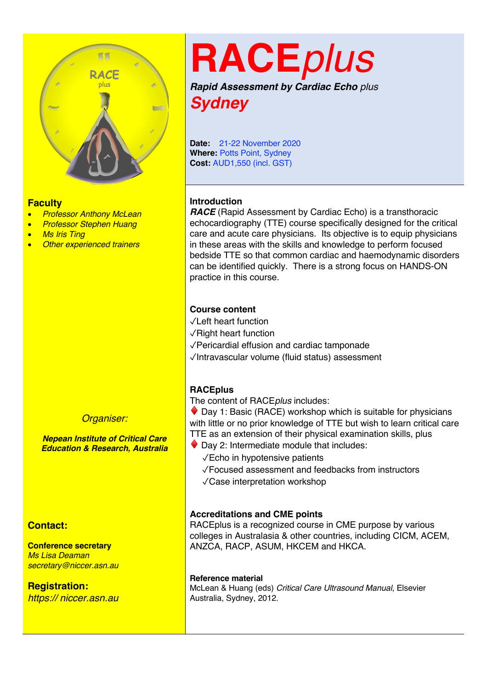

#### **Faculty**

- *Professor Anthony McLean*
- *Professor Stephen Huang*
- *Ms Iris Ting*
- *Other experienced trainers*

#### *Organiser:*

*Nepean Institute of Critical Care Education & Research, Australia*

#### **Contact:**

**Conference secretary** *Ms Lisa Deaman secretary@niccer.asn.au*

**Registration:** *https:// niccer.asn.au*

## **RACE***plus*

*Rapid Assessment by Cardiac Echo plus Sydney*

**Date:** 21-22 November 2020 **Where: Potts Point, Sydney Cost:** AUD1,550 (incl. GST)

#### **Introduction**

*RACE* (Rapid Assessment by Cardiac Echo) is a transthoracic echocardiography (TTE) course specifically designed for the critical care and acute care physicians. Its objective is to equip physicians in these areas with the skills and knowledge to perform focused bedside TTE so that common cardiac and haemodynamic disorders can be identified quickly. There is a strong focus on HANDS-ON practice in this course.

#### **Course content**

- ✓Left heart function
- ✓Right heart function
- ✓Pericardial effusion and cardiac tamponade
- ✓Intravascular volume (fluid status) assessment

#### **RACEplus**

The content of RACE*plus* includes:

 $\bullet$  Day 1: Basic (RACE) workshop which is suitable for physicians with little or no prior knowledge of TTE but wish to learn critical care TTE as an extension of their physical examination skills, plus

- $\blacklozenge$  Day 2: Intermediate module that includes:
	- ✓Echo in hypotensive patients

 ✓Focused assessment and feedbacks from instructors ✓Case interpretation workshop

#### **Accreditations and CME points**

RACEplus is a recognized course in CME purpose by various colleges in Australasia & other countries, including CICM, ACEM, ANZCA, RACP, ASUM, HKCEM and HKCA.

#### **Reference material**

McLean & Huang (eds) *Critical Care Ultrasound Manual*, Elsevier Australia, Sydney, 2012.